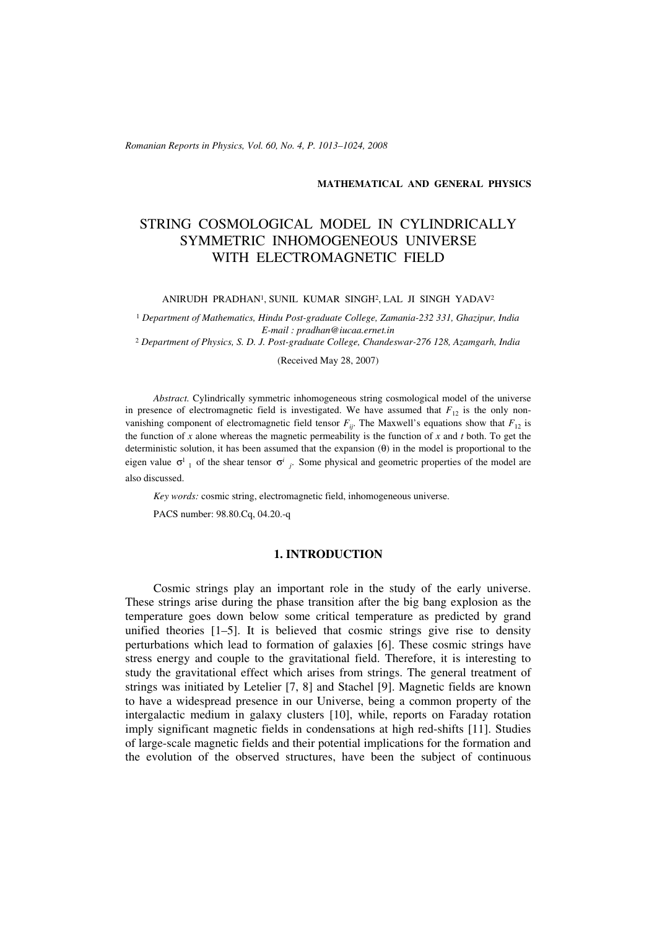*Romanian Reports in Physics, Vol. 60, No. 4, P. 1013–1024, 2008*

#### **MATHEMATICAL AND GENERAL PHYSICS**

# STRING COSMOLOGICAL MODEL IN CYLINDRICALLY SYMMETRIC INHOMOGENEOUS UNIVERSE WITH ELECTROMAGNETIC FIELD

ANIRUDH PRADHAN1, SUNIL KUMAR SINGH2, LAL JI SINGH YADAV2

<sup>1</sup> *Department of Mathematics, Hindu Post-graduate College, Zamania-232 331, Ghazipur, India E-mail : pradhan@iucaa.ernet.in*

<sup>2</sup> *Department of Physics, S. D. J. Post-graduate College, Chandeswar-276 128, Azamgarh, India*

(Received May 28, 2007)

*Abstract.* Cylindrically symmetric inhomogeneous string cosmological model of the universe in presence of electromagnetic field is investigated. We have assumed that  $F_{12}$  is the only nonvanishing component of electromagnetic field tensor  $F_{ij}$ . The Maxwell's equations show that  $F_{12}$  is the function of  $x$  alone whereas the magnetic permeability is the function of  $x$  and  $t$  both. To get the deterministic solution, it has been assumed that the expansion (θ) in the model is proportional to the eigen value  $\sigma^1$  of the shear tensor  $\sigma^i$  *i*. Some physical and geometric properties of the model are also discussed.

*Key words:* cosmic string, electromagnetic field, inhomogeneous universe.

PACS number: 98.80.Cq, 04.20.-q

#### **1. INTRODUCTION**

Cosmic strings play an important role in the study of the early universe. These strings arise during the phase transition after the big bang explosion as the temperature goes down below some critical temperature as predicted by grand unified theories [1–5]. It is believed that cosmic strings give rise to density perturbations which lead to formation of galaxies [6]. These cosmic strings have stress energy and couple to the gravitational field. Therefore, it is interesting to study the gravitational effect which arises from strings. The general treatment of strings was initiated by Letelier [7, 8] and Stachel [9]. Magnetic fields are known to have a widespread presence in our Universe, being a common property of the intergalactic medium in galaxy clusters [10], while, reports on Faraday rotation imply significant magnetic fields in condensations at high red-shifts [11]. Studies of large-scale magnetic fields and their potential implications for the formation and the evolution of the observed structures, have been the subject of continuous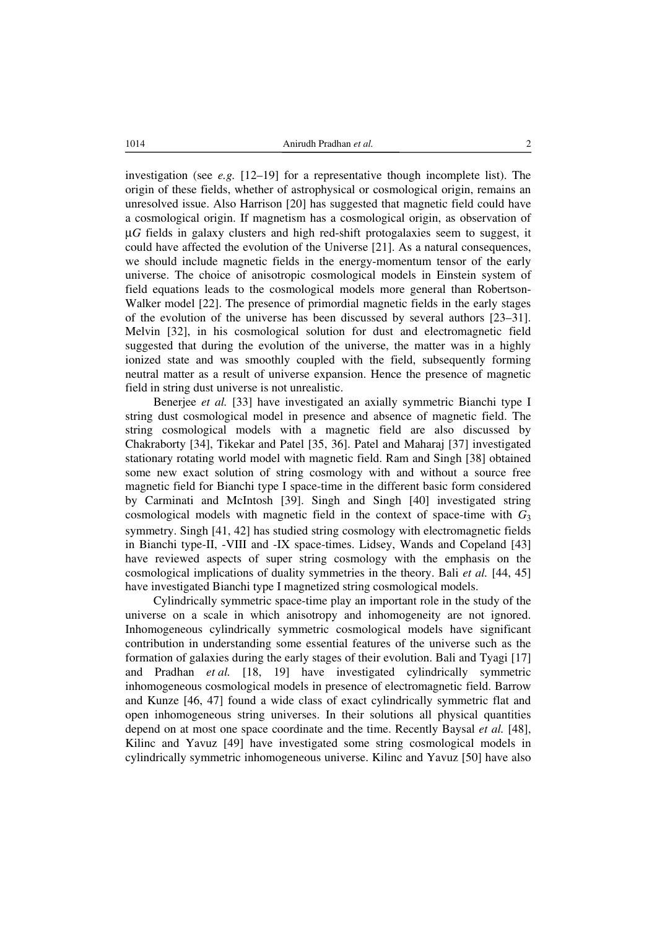1014 Anirudh Pradhan *et al.* 2

investigation (see  $e.g.$  [12–19] for a representative though incomplete list). The origin of these fields, whether of astrophysical or cosmological origin, remains an unresolved issue. Also Harrison [20] has suggested that magnetic field could have a cosmological origin. If magnetism has a cosmological origin, as observation of μ*G* fields in galaxy clusters and high red-shift protogalaxies seem to suggest, it could have affected the evolution of the Universe [21]. As a natural consequences, we should include magnetic fields in the energy-momentum tensor of the early universe. The choice of anisotropic cosmological models in Einstein system of field equations leads to the cosmological models more general than Robertson-Walker model [22]. The presence of primordial magnetic fields in the early stages of the evolution of the universe has been discussed by several authors [23–31]. Melvin [32], in his cosmological solution for dust and electromagnetic field suggested that during the evolution of the universe, the matter was in a highly ionized state and was smoothly coupled with the field, subsequently forming neutral matter as a result of universe expansion. Hence the presence of magnetic field in string dust universe is not unrealistic.

Benerjee *et al.* [33] have investigated an axially symmetric Bianchi type I string dust cosmological model in presence and absence of magnetic field. The string cosmological models with a magnetic field are also discussed by Chakraborty [34], Tikekar and Patel [35, 36]. Patel and Maharaj [37] investigated stationary rotating world model with magnetic field. Ram and Singh [38] obtained some new exact solution of string cosmology with and without a source free magnetic field for Bianchi type I space-time in the different basic form considered by Carminati and McIntosh [39]. Singh and Singh [40] investigated string cosmological models with magnetic field in the context of space-time with  $G_3$ symmetry. Singh [41, 42] has studied string cosmology with electromagnetic fields in Bianchi type-II, -VIII and -IX space-times. Lidsey, Wands and Copeland [43] have reviewed aspects of super string cosmology with the emphasis on the cosmological implications of duality symmetries in the theory. Bali *et al.* [44, 45] have investigated Bianchi type I magnetized string cosmological models.

Cylindrically symmetric space-time play an important role in the study of the universe on a scale in which anisotropy and inhomogeneity are not ignored. Inhomogeneous cylindrically symmetric cosmological models have significant contribution in understanding some essential features of the universe such as the formation of galaxies during the early stages of their evolution. Bali and Tyagi [17] and Pradhan *et al.* [18, 19] have investigated cylindrically symmetric inhomogeneous cosmological models in presence of electromagnetic field. Barrow and Kunze [46, 47] found a wide class of exact cylindrically symmetric flat and open inhomogeneous string universes. In their solutions all physical quantities depend on at most one space coordinate and the time. Recently Baysal *et al.* [48], Kilinc and Yavuz [49] have investigated some string cosmological models in cylindrically symmetric inhomogeneous universe. Kilinc and Yavuz [50] have also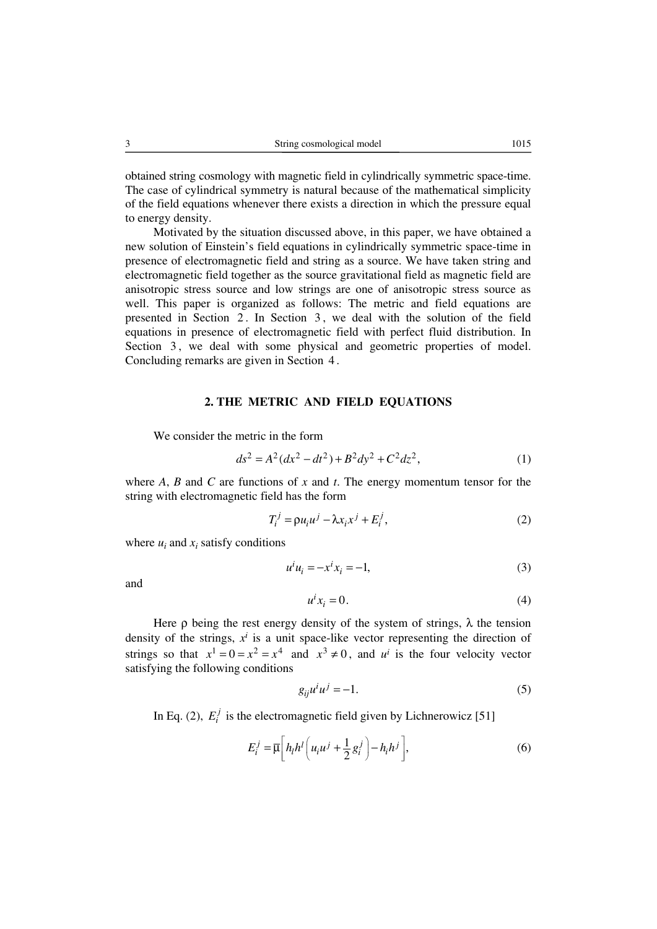obtained string cosmology with magnetic field in cylindrically symmetric space-time. The case of cylindrical symmetry is natural because of the mathematical simplicity of the field equations whenever there exists a direction in which the pressure equal to energy density.

Motivated by the situation discussed above, in this paper, we have obtained a new solution of Einstein's field equations in cylindrically symmetric space-time in presence of electromagnetic field and string as a source. We have taken string and electromagnetic field together as the source gravitational field as magnetic field are anisotropic stress source and low strings are one of anisotropic stress source as well. This paper is organized as follows: The metric and field equations are presented in Section 2. In Section 3, we deal with the solution of the field equations in presence of electromagnetic field with perfect fluid distribution. In Section 3, we deal with some physical and geometric properties of model. Concluding remarks are given in Section 4 .

#### **2. THE METRIC AND FIELD EQUATIONS**

We consider the metric in the form

$$
ds^2 = A^2(dx^2 - dt^2) + B^2 dy^2 + C^2 dz^2,
$$
 (1)

where *A*, *B* and *C* are functions of *x* and *t*. The energy momentum tensor for the string with electromagnetic field has the form

$$
T_i^j = \rho u_i u^j - \lambda x_i x^j + E_i^j,\tag{2}
$$

where  $u_i$  and  $x_i$  satisfy conditions

$$
u^i u_i = -x^i x_i = -1,\tag{3}
$$

and

$$
u^i x_i = 0. \tag{4}
$$

Here  $\rho$  being the rest energy density of the system of strings,  $\lambda$  the tension density of the strings,  $x^i$  is a unit space-like vector representing the direction of strings so that  $x^1 = 0 = x^2 = x^4$  and  $x^3 \neq 0$ , and  $u^i$  is the four velocity vector satisfying the following conditions

$$
g_{ij}u^i u^j = -1.
$$
 (5)

In Eq. (2),  $E_i^j$  is the electromagnetic field given by Lichnerowicz [51]

$$
E_i^j = \overline{\mu} \bigg[ h_l h^l \bigg( u_i u^j + \frac{1}{2} g_i^j \bigg) - h_i h^j \bigg],
$$
 (6)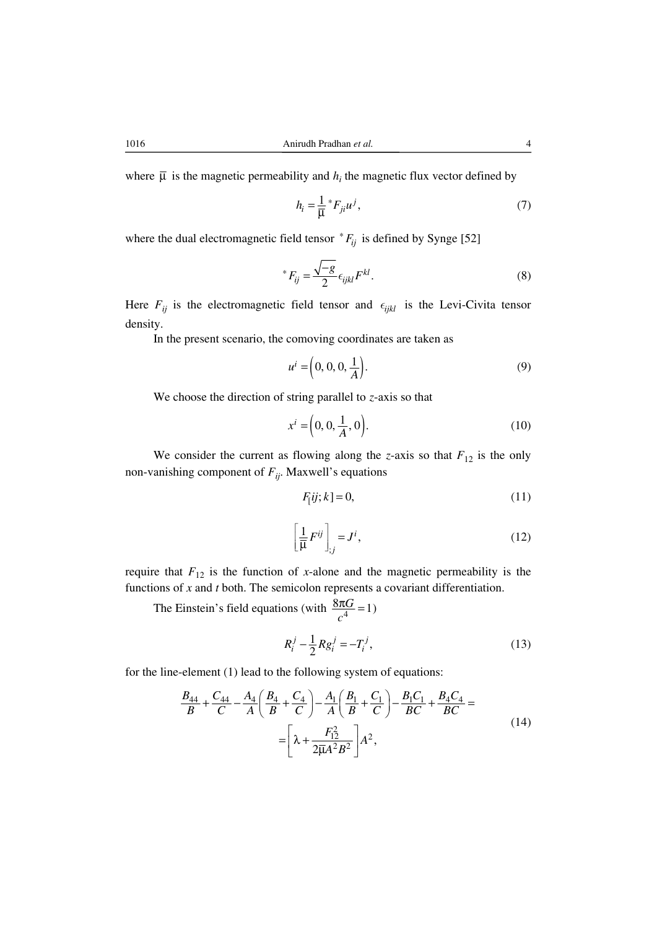where  $\overline{\mu}$  is the magnetic permeability and  $h_i$  the magnetic flux vector defined by

$$
h_i = \frac{1}{\overline{\mu}} \, ^*F_{ji} u^j, \tag{7}
$$

where the dual electromagnetic field tensor  $*F_{ij}$  is defined by Synge [52]

$$
^*F_{ij} = \frac{\sqrt{-g}}{2} \epsilon_{ijkl} F^{kl}.
$$

Here  $F_{ij}$  is the electromagnetic field tensor and  $\epsilon_{ijkl}$  is the Levi-Civita tensor density.

In the present scenario, the comoving coordinates are taken as

$$
u^{i} = \left(0, 0, 0, \frac{1}{A}\right).
$$
 (9)

We choose the direction of string parallel to *z*-axis so that

$$
x^{i} = \left(0, 0, \frac{1}{A}, 0\right). \tag{10}
$$

We consider the current as flowing along the *z*-axis so that  $F_{12}$  is the only non-vanishing component of  $F_{ij}$ . Maxwell's equations

$$
F_{[ij;k]} = 0,\t\t(11)
$$

$$
\left[\frac{1}{\overline{\mu}}F^{ij}\right]_{;j}=J^{i},\tag{12}
$$

require that  $F_{12}$  is the function of *x*-alone and the magnetic permeability is the functions of *x* and *t* both. The semicolon represents a covariant differentiation.

The Einstein's field equations (with  $\frac{8\pi G}{c^4}$  = 1) *c*  $\frac{\pi G}{4}$  =

$$
R_i^j - \frac{1}{2} R g_i^j = -T_i^j,
$$
\t(13)

for the line-element (1) lead to the following system of equations:

$$
\frac{B_{44}}{B} + \frac{C_{44}}{C} - \frac{A_4}{A} \left( \frac{B_4}{B} + \frac{C_4}{C} \right) - \frac{A_1}{A} \left( \frac{B_1}{B} + \frac{C_1}{C} \right) - \frac{B_1 C_1}{BC} + \frac{B_4 C_4}{BC} =
$$
\n
$$
= \left[ \lambda + \frac{F_{12}^2}{2\overline{\mu}A^2B^2} \right] A^2,
$$
\n(14)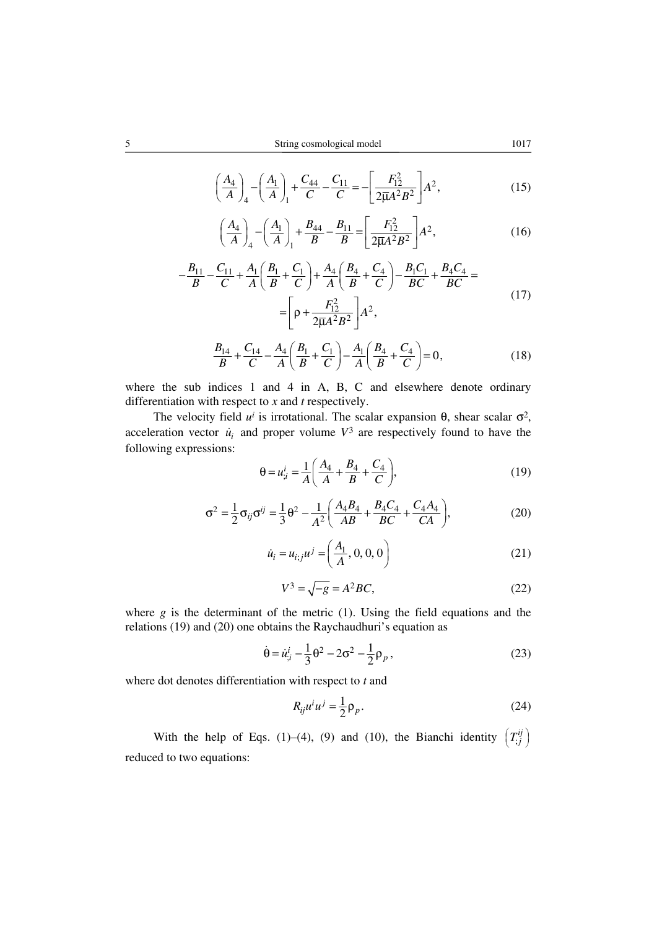$$
\left(\frac{A_4}{A}\right)_4 - \left(\frac{A_1}{A}\right)_1 + \frac{C_{44}}{C} - \frac{C_{11}}{C} = -\left[\frac{F_{12}^2}{2\overline{\mu}A^2B^2}\right]A^2,\tag{15}
$$

$$
\left(\frac{A_4}{A}\right)_4 - \left(\frac{A_1}{A}\right)_1 + \frac{B_{44}}{B} - \frac{B_{11}}{B} = \left[\frac{F_{12}^2}{2\overline{\mu}A^2B^2}\right]A^2,\tag{16}
$$

$$
-\frac{B_{11}}{B} - \frac{C_{11}}{C} + \frac{A_1}{A} \left( \frac{B_1}{B} + \frac{C_1}{C} \right) + \frac{A_4}{A} \left( \frac{B_4}{B} + \frac{C_4}{C} \right) - \frac{B_1 C_1}{BC} + \frac{B_4 C_4}{BC} =
$$
  
= 
$$
\left[ \rho + \frac{F_{12}^2}{2\overline{\mu} A^2 B^2} \right] A^2,
$$
 (17)

$$
\frac{B_{14}}{B} + \frac{C_{14}}{C} - \frac{A_4}{A} \left( \frac{B_1}{B} + \frac{C_1}{C} \right) - \frac{A_1}{A} \left( \frac{B_4}{B} + \frac{C_4}{C} \right) = 0,
$$
\n(18)

where the sub indices 1 and 4 in A, B, C and elsewhere denote ordinary differentiation with respect to *x* and *t* respectively.

The velocity field  $u^i$  is irrotational. The scalar expansion  $\theta$ , shear scalar  $\sigma^2$ , acceleration vector  $\dot{u}_i$  and proper volume  $V^3$  are respectively found to have the following expressions:

$$
\theta = u_{i}^{i} = \frac{1}{A} \left( \frac{A_{4}}{A} + \frac{B_{4}}{B} + \frac{C_{4}}{C} \right),
$$
\n(19)

$$
\sigma^2 = \frac{1}{2}\sigma_{ij}\sigma^{ij} = \frac{1}{3}\Theta^2 - \frac{1}{A^2}\left(\frac{A_4B_4}{AB} + \frac{B_4C_4}{BC} + \frac{C_4A_4}{CA}\right),\tag{20}
$$

$$
\dot{u}_i = u_{i;j} u^j = \left(\frac{A_1}{A}, 0, 0, 0\right) \tag{21}
$$

$$
V^3 = \sqrt{-g} = A^2 BC,\tag{22}
$$

where *g* is the determinant of the metric (1). Using the field equations and the relations (19) and (20) one obtains the Raychaudhuri's equation as

$$
\dot{\theta} = \dot{u}_{;i}^{i} - \frac{1}{3} \theta^{2} - 2\sigma^{2} - \frac{1}{2} \rho_{p},
$$
\n(23)

where dot denotes differentiation with respect to *t* and

$$
R_{ij}u^i u^j = \frac{1}{2} \rho_p. \tag{24}
$$

With the help of Eqs. (1)–(4), (9) and (10), the Bianchi identity  $\left(T_{,j}^{ij}\right)$ reduced to two equations: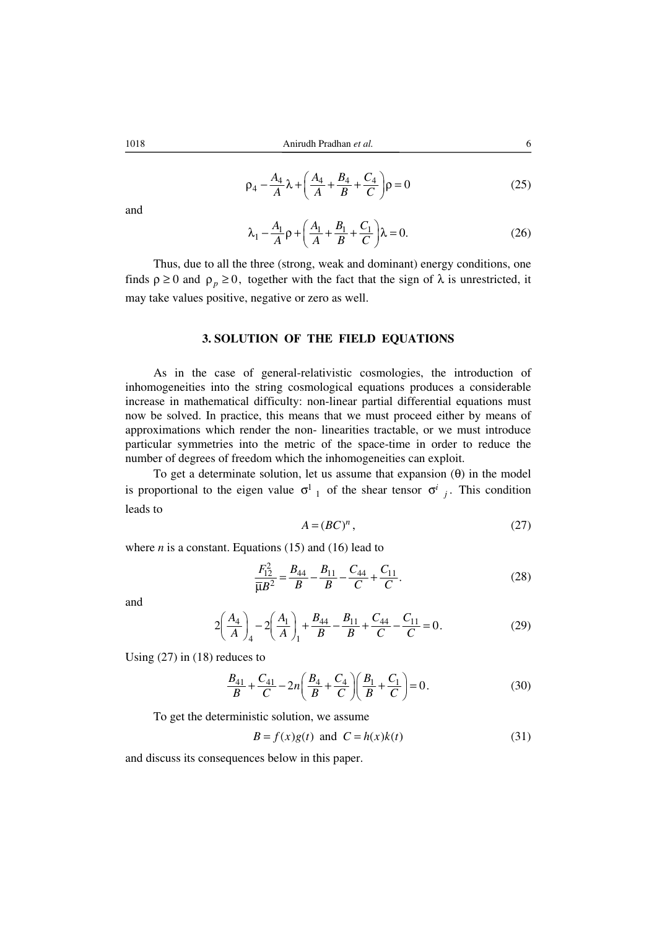$$
\rho_4 - \frac{A_4}{A} \lambda + \left(\frac{A_4}{A} + \frac{B_4}{B} + \frac{C_4}{C}\right)\rho = 0
$$
 (25)

and

$$
\lambda_1 - \frac{A_1}{A} \rho + \left( \frac{A_1}{A} + \frac{B_1}{B} + \frac{C_1}{C} \right) \lambda = 0.
$$
 (26)

Thus, due to all the three (strong, weak and dominant) energy conditions, one finds  $\rho \ge 0$  and  $\rho_p \ge 0$ , together with the fact that the sign of  $\lambda$  is unrestricted, it may take values positive, negative or zero as well.

### **3. SOLUTION OF THE FIELD EQUATIONS**

As in the case of general-relativistic cosmologies, the introduction of inhomogeneities into the string cosmological equations produces a considerable increase in mathematical difficulty: non-linear partial differential equations must now be solved. In practice, this means that we must proceed either by means of approximations which render the non- linearities tractable, or we must introduce particular symmetries into the metric of the space-time in order to reduce the number of degrees of freedom which the inhomogeneities can exploit.

To get a determinate solution, let us assume that expansion  $(\theta)$  in the model is proportional to the eigen value  $\sigma^1_{1}$  of the shear tensor  $\sigma^i_{j}$ . This condition leads to

$$
A = (BC)^n,\tag{27}
$$

where  $n$  is a constant. Equations (15) and (16) lead to

$$
\frac{F_{12}^2}{\overline{\mu}B^2} = \frac{B_{44}}{B} - \frac{B_{11}}{B} - \frac{C_{44}}{C} + \frac{C_{11}}{C}.
$$
 (28)

and

$$
2\left(\frac{A_4}{A}\right)_4 - 2\left(\frac{A_1}{A}\right)_1 + \frac{B_{44}}{B} - \frac{B_{11}}{B} + \frac{C_{44}}{C} - \frac{C_{11}}{C} = 0.
$$
 (29)

Using (27) in (18) reduces to

$$
\frac{B_{41}}{B} + \frac{C_{41}}{C} - 2n\left(\frac{B_4}{B} + \frac{C_4}{C}\right)\left(\frac{B_1}{B} + \frac{C_1}{C}\right) = 0.
$$
 (30)

To get the deterministic solution, we assume

$$
B = f(x)g(t) \text{ and } C = h(x)k(t) \tag{31}
$$

and discuss its consequences below in this paper.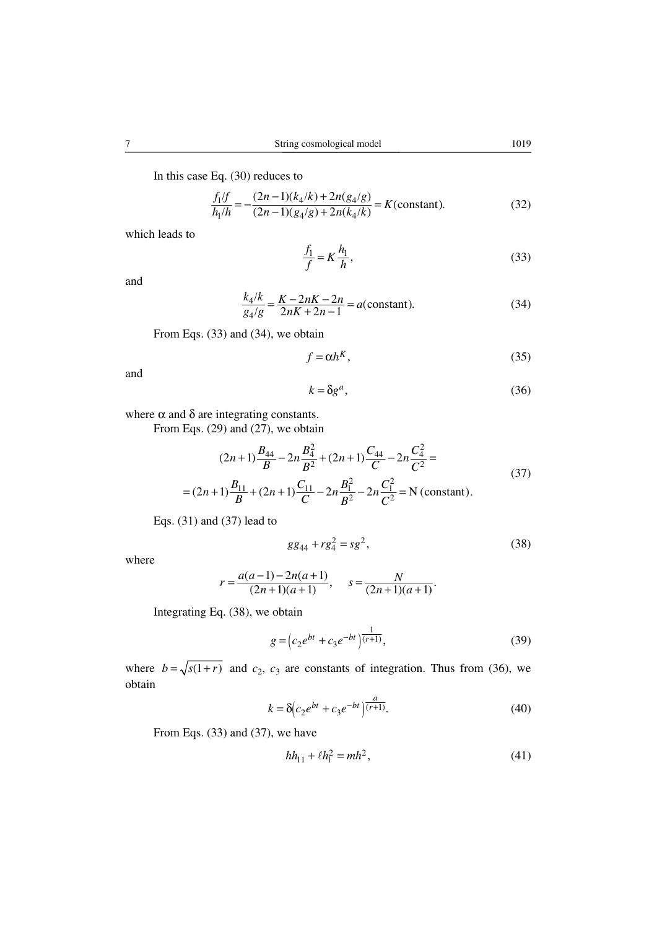In this case Eq. (30) reduces to

$$
\frac{f_1/f}{h_1/h} = -\frac{(2n-1)(k_4/k) + 2n(g_4/g)}{(2n-1)(g_4/g) + 2n(k_4/k)} = K(\text{constant}).
$$
\n(32)

which leads to

$$
\frac{f_1}{f} = K \frac{h_1}{h},\tag{33}
$$

and

$$
\frac{k_4/k}{g_4/g} = \frac{K - 2nK - 2n}{2nK + 2n - 1} = a(\text{constant}).
$$
\n(34)

From Eqs. (33) and (34), we obtain

$$
f = \alpha h^K,\tag{35}
$$

and

$$
k = \delta g^a,\tag{36}
$$

where 
$$
\alpha
$$
 and  $\delta$  are integrating constants.

From Eqs. (29) and (27), we obtain

$$
(2n+1)\frac{B_{44}}{B} - 2n\frac{B_4^2}{B^2} + (2n+1)\frac{C_{44}}{C} - 2n\frac{C_4^2}{C^2} =
$$
  
=  $(2n+1)\frac{B_{11}}{B} + (2n+1)\frac{C_{11}}{C} - 2n\frac{B_1^2}{B^2} - 2n\frac{C_1^2}{C^2} = N$  (constant). (37)

Eqs. (31) and (37) lead to

$$
gg_{44} + rg_4^2 = sg^2,\tag{38}
$$

where

$$
r = \frac{a(a-1) - 2n(a+1)}{(2n+1)(a+1)}, \quad s = \frac{N}{(2n+1)(a+1)}.
$$

Integrating Eq. (38), we obtain

$$
g = \left(c_2 e^{bt} + c_3 e^{-bt}\right)^{\frac{1}{(r+1)}},\tag{39}
$$

where  $b = \sqrt{s(1+r)}$  and  $c_2$ ,  $c_3$  are constants of integration. Thus from (36), we obtain

$$
k = \delta \left( c_2 e^{bt} + c_3 e^{-bt} \right) \overline{\left( r+1 \right)}.
$$
 (40)

From Eqs. (33) and (37), we have

$$
hh_{11} + \ell h_1^2 = mh^2,
$$
\n(41)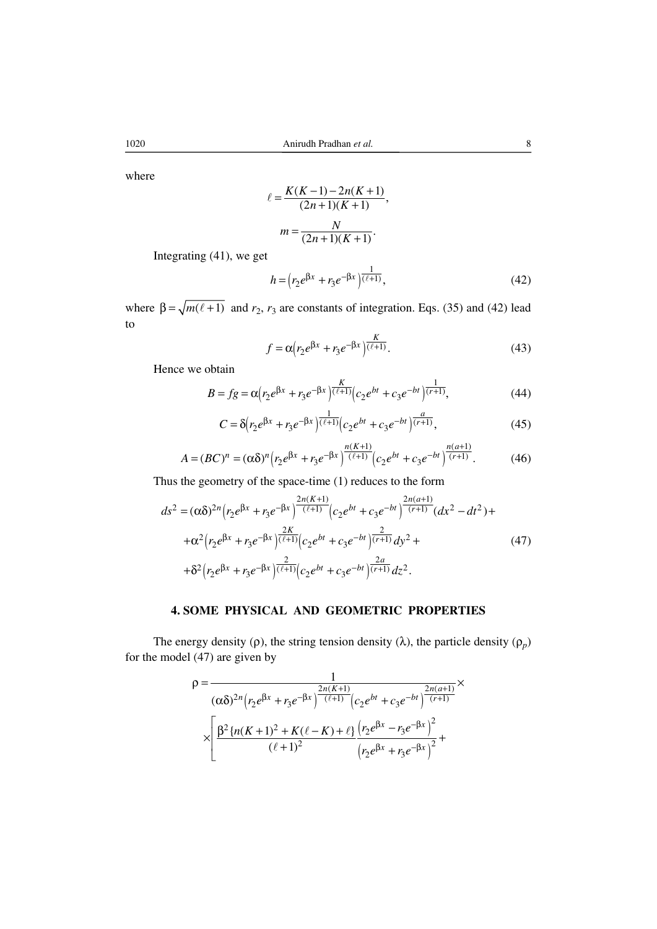where

$$
\ell = \frac{K(K-1) - 2n(K+1)}{(2n+1)(K+1)},
$$

$$
m = \frac{N}{(2n+1)(K+1)}.
$$

Integrating (41), we get

$$
h = (r_2 e^{\beta x} + r_3 e^{-\beta x})^{\frac{1}{(\ell+1)}},
$$
\n(42)

where  $\beta = \sqrt{m(\ell + 1)}$  and  $r_2$ ,  $r_3$  are constants of integration. Eqs. (35) and (42) lead to

$$
f = \alpha \left( r_2 e^{\beta x} + r_3 e^{-\beta x} \right) \overline{\binom{\ell + 1}{\ell + 1}}.
$$
 (43)

Hence we obtain

$$
B = fg = \alpha \left( r_2 e^{\beta x} + r_3 e^{-\beta x} \right) \frac{K}{(\ell+1)} \left( c_2 e^{bt} + c_3 e^{-bt} \right) \frac{1}{(r+1)},\tag{44}
$$

$$
C = \delta \left( r_2 e^{\beta x} + r_3 e^{-\beta x} \right) \frac{1}{(\ell+1)} \left( c_2 e^{bt} + c_3 e^{-bt} \right) \frac{a}{(r+1)},\tag{45}
$$

$$
A = (BC)^n = (\alpha \delta)^n \left( r_2 e^{\beta x} + r_3 e^{-\beta x} \right)^{\frac{n(K+1)}{(\ell+1)}} \left( c_2 e^{bt} + c_3 e^{-bt} \right)^{\frac{n(a+1)}{(r+1)}}.
$$
 (46)

Thus the geometry of the space-time (1) reduces to the form

$$
ds^{2} = (\alpha \delta)^{2n} \left( r_{2} e^{\beta x} + r_{3} e^{-\beta x} \right) \frac{2n(K+1)}{(\ell+1)} \left( c_{2} e^{bt} + c_{3} e^{-bt} \right) \frac{2n(a+1)}{(r+1)} (dx^{2} - dt^{2}) +
$$
  
+
$$
\alpha^{2} \left( r_{2} e^{\beta x} + r_{3} e^{-\beta x} \right) \frac{2K}{(\ell+1)} \left( c_{2} e^{bt} + c_{3} e^{-bt} \right) \frac{2}{(r+1)} dy^{2} +
$$
  
+
$$
\delta^{2} \left( r_{2} e^{\beta x} + r_{3} e^{-\beta x} \right) \frac{2}{(\ell+1)} \left( c_{2} e^{bt} + c_{3} e^{-bt} \right) \frac{2a}{(r+1)} dz^{2}.
$$
 (47)

# **4. SOME PHYSICAL AND GEOMETRIC PROPERTIES**

The energy density ( $\rho$ ), the string tension density ( $\lambda$ ), the particle density ( $\rho_p$ ) for the model (47) are given by

$$
\rho = \frac{1}{(\alpha \delta)^{2n} \left( r_2 e^{\beta x} + r_3 e^{-\beta x} \right)^{\frac{2n(K+1)}{(\ell+1)}} \left( c_2 e^{bt} + c_3 e^{-bt} \right)^{\frac{2n(a+1)}{(r+1)}}} \times \sqrt{\frac{\beta^2 \left\{ n(K+1)^2 + K(\ell-K) + \ell \right\} \left( r_2 e^{\beta x} - r_3 e^{-\beta x} \right)^2}{(\ell+1)^2} + \sqrt{\frac{\beta^2 \left\{ n(K+1)^2 + K(\ell-K) + \ell \right\} \left( r_2 e^{\beta x} + r_3 e^{-\beta x} \right)^2}{\left( r_2 e^{\beta x} + r_3 e^{-\beta x} \right)^2}} + \sqrt{\frac{\beta^2 \left\{ n(K+1)^2 + K(\ell-K) + \ell \right\} \left( r_2 e^{-\beta x} + r_3 e^{-\beta x} \right)^2}{\left( r_2 e^{-\beta x} + r_3 e^{-\beta x} \right)^2}}
$$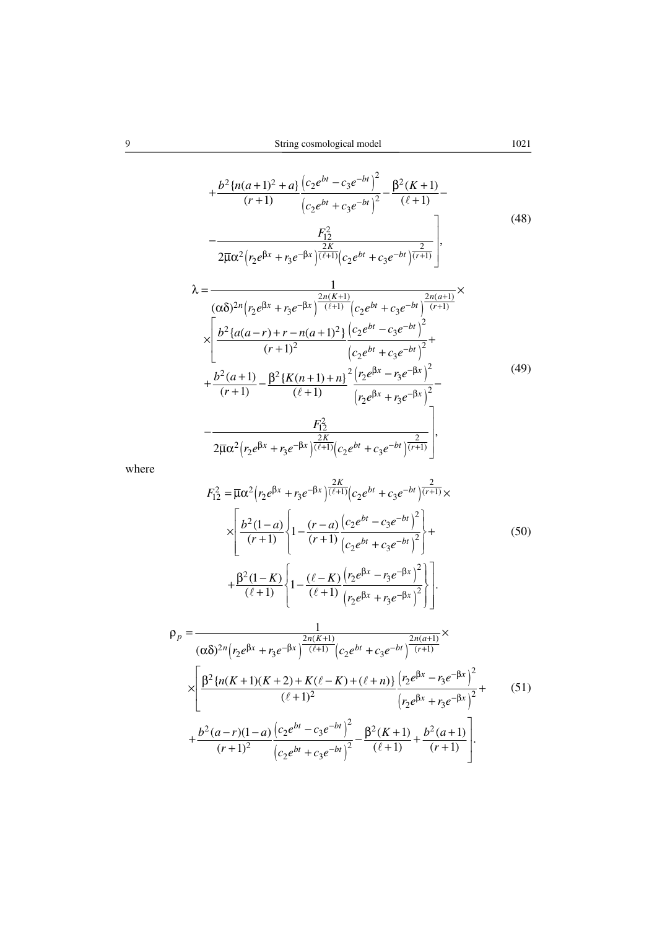$(r_2 e^{i\pi} + r_3 e^{-i\pi})^{(\ell+1)} (c_2 e^{i\pi} + c_3 e^{-i\pi})$ 

$$
+\frac{b^2\{n(a+1)^2+a\}}{(r+1)}\frac{\left(c_2e^{bt}-c_3e^{-bt}\right)^2}{\left(c_2e^{bt}+c_3e^{-bt}\right)^2}-\frac{\beta^2(K+1)}{(\ell+1)}-\frac{F_{12}^2}{2\overline{\mu}\alpha^2\left(r_2e^{\beta x}+r_3e^{-\beta x}\right)\frac{2K}{(\ell+1)}\left(c_2e^{bt}+c_3e^{-bt}\right)\frac{2}{(r+1)}}\right],
$$
\n(48)

$$
2\overline{\mu}\alpha^{2}(r_{2}e^{\beta x}+r_{3}e^{-\beta x})(\ell+1)(c_{2}e^{\beta t}+c_{3}e^{-\beta t})(r+1))
$$
\n
$$
\lambda = \frac{1}{(\alpha\delta)^{2n}(r_{2}e^{\beta x}+r_{3}e^{-\beta x})^{\frac{2n(K+1)}{(\ell+1)}}(c_{2}e^{\beta t}+c_{3}e^{-\beta t})^{\frac{2n(a+1)}{(r+1)}}}
$$
\n
$$
\times \left[\frac{b^{2}\left\{a(a-r)+r-n(a+1)^{2}\right\}\left(c_{2}e^{\beta t}-c_{3}e^{-\beta t}\right)^{2}}{(r+1)^{2}}+\frac{b^{2}(a+1)}{(r+1)}-\frac{\beta^{2}\left\{K(n+1)+n\right\}^{2}\left(r_{2}e^{\beta x}-r_{3}e^{-\beta x}\right)^{2}}{(r_{2}e^{\beta x}+r_{3}e^{-\beta x})^{2}}-\frac{F_{12}^{2}}{2\overline{\mu}\alpha^{2}(r_{2}e^{\beta x}+r_{3}e^{-\beta x})^{\frac{2K}{(\ell+1)}}(c_{2}e^{\beta t}+c_{3}e^{-\beta t})^{\frac{2}{(\ell+1)}}}\right], \tag{49}
$$

where

$$
F_{12}^{2} = \overline{\mu}\alpha^{2}(r_{2}e^{\beta x} + r_{3}e^{-\beta x})\frac{2K}{(\ell+1)}(c_{2}e^{bt} + c_{3}e^{-bt})\frac{2}{(r+1)\kappa}\times
$$
\n
$$
\times \left[\frac{b^{2}(1-a)}{(r+1)}\left\{1 - \frac{(r-a)}{(r+1)}\frac{(c_{2}e^{bt} - c_{3}e^{-bt})^{2}}{(c_{2}e^{bt} + c_{3}e^{-bt})^{2}}\right\} + \frac{\beta^{2}(1-K)}{(\ell+1)}\left\{1 - \frac{(\ell-K)}{(\ell+1)}\frac{(r_{2}e^{\beta x} - r_{3}e^{-\beta x})^{2}}{(r_{2}e^{\beta x} + r_{3}e^{-\beta x})^{2}}\right\}\right].
$$
\n
$$
\rho_{p} = \frac{1}{(\alpha\delta)^{2n}(r_{2}e^{\beta x} + r_{3}e^{-\beta x})\frac{2n(K+1)}{(\ell+1)}(c_{2}e^{bt} + c_{3}e^{-bt})\frac{2n(a+1)}{(r+1)}}\times
$$
\n
$$
\times \left[\frac{\beta^{2}\left\{n(K+1)(K+2) + K(\ell-K) + (\ell+n)\right\}\left(r_{2}e^{\beta x} - r_{3}e^{-\beta x}\right)^{2}}{(r_{2}e^{\beta x} + r_{3}e^{-\beta x})^{2}} + \frac{\beta^{2}(a-r)(1-a)}{(\ell+1)^{2}}\frac{(c_{2}e^{bt} - c_{3}e^{-bt})^{2}}{(c_{2}e^{bt} + c_{3}e^{-bt})^{2}} - \frac{\beta^{2}(K+1)}{(\ell+1)} + \frac{b^{2}(a+1)}{(r+1)}\right].
$$
\n(51)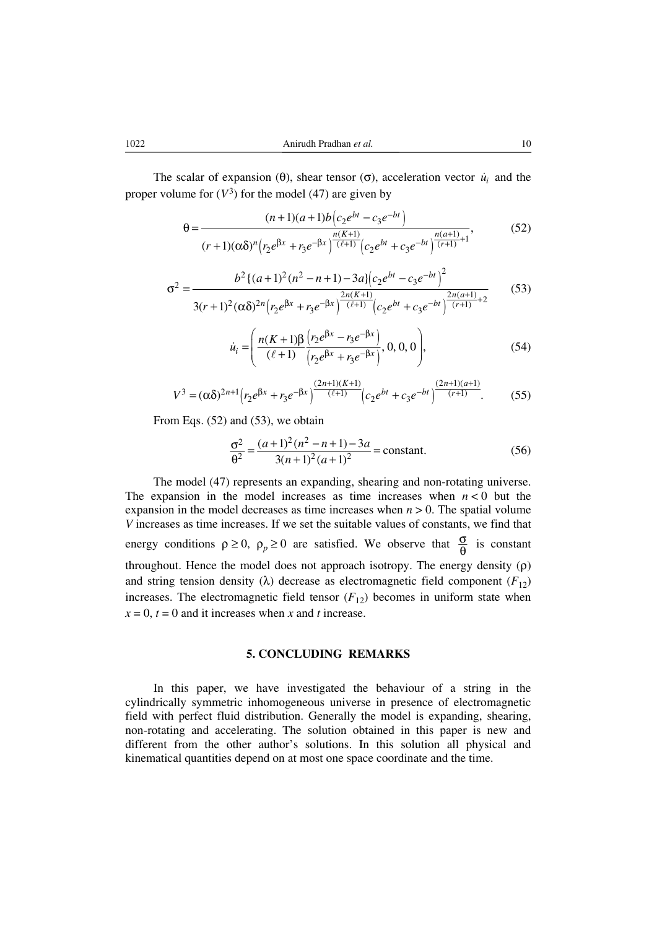The scalar of expansion ( $\theta$ ), shear tensor ( $\sigma$ ), acceleration vector  $\dot{u}_i$  and the proper volume for  $(V^3)$  for the model (47) are given by

$$
\theta = \frac{(n+1)(a+1)b(c_2e^{bt} - c_3e^{-bt})}{(r+1)(\alpha\delta)^n (r_2e^{\beta x} + r_3e^{-\beta x})^{\frac{n(K+1)}{(\ell+1)}}(c_2e^{bt} + c_3e^{-bt})^{\frac{n(a+1)}{(r+1)}+1}},
$$
(52)

$$
\sigma^2 = \frac{b^2 \{(a+1)^2(n^2-n+1)-3a\} \left(c_2 e^{bt} - c_3 e^{-bt}\right)^2}{3(r+1)^2 (\alpha \delta)^{2n} \left(r_2 e^{\beta x} + r_3 e^{-\beta x}\right)^{\frac{2n(K+1)}{\left(\ell+1\right)}} \left(c_2 e^{bt} + c_3 e^{-bt}\right)^{\frac{2n(a+1)}{\left(r+1\right)}+2}}\tag{53}
$$

$$
\dot{u}_i = \left( \frac{n(K+1)\beta \left( r_2 e^{\beta x} - r_3 e^{-\beta x} \right)}{(\ell+1) \left( r_2 e^{\beta x} + r_3 e^{-\beta x} \right)}, 0, 0, 0 \right), \tag{54}
$$

$$
V^3 = (\alpha \delta)^{2n+1} \Big( r_2 e^{\beta x} + r_3 e^{-\beta x} \Big)^{\frac{(2n+1)(K+1)}{(\ell+1)}} \Big( c_2 e^{bt} + c_3 e^{-bt} \Big)^{\frac{(2n+1)(a+1)}{(r+1)}}. \tag{55}
$$

From Eqs. (52) and (53), we obtain

$$
\frac{\sigma^2}{\theta^2} = \frac{(a+1)^2(n^2-n+1)-3a}{3(n+1)^2(a+1)^2} = \text{constant.}
$$
 (56)

The model (47) represents an expanding, shearing and non-rotating universe. The expansion in the model increases as time increases when  $n < 0$  but the expansion in the model decreases as time increases when  $n > 0$ . The spatial volume *V* increases as time increases. If we set the suitable values of constants, we find that energy conditions  $\rho \ge 0$ ,  $\rho_p \ge 0$  are satisfied. We observe that  $\frac{\sigma}{\theta}$  is constant throughout. Hence the model does not approach isotropy. The energy density (ρ) and string tension density ( $\lambda$ ) decrease as electromagnetic field component ( $F_{12}$ ) increases. The electromagnetic field tensor  $(F_{12})$  becomes in uniform state when  $x = 0$ ,  $t = 0$  and it increases when *x* and *t* increase.

#### **5. CONCLUDING REMARKS**

In this paper, we have investigated the behaviour of a string in the cylindrically symmetric inhomogeneous universe in presence of electromagnetic field with perfect fluid distribution. Generally the model is expanding, shearing, non-rotating and accelerating. The solution obtained in this paper is new and different from the other author's solutions. In this solution all physical and kinematical quantities depend on at most one space coordinate and the time.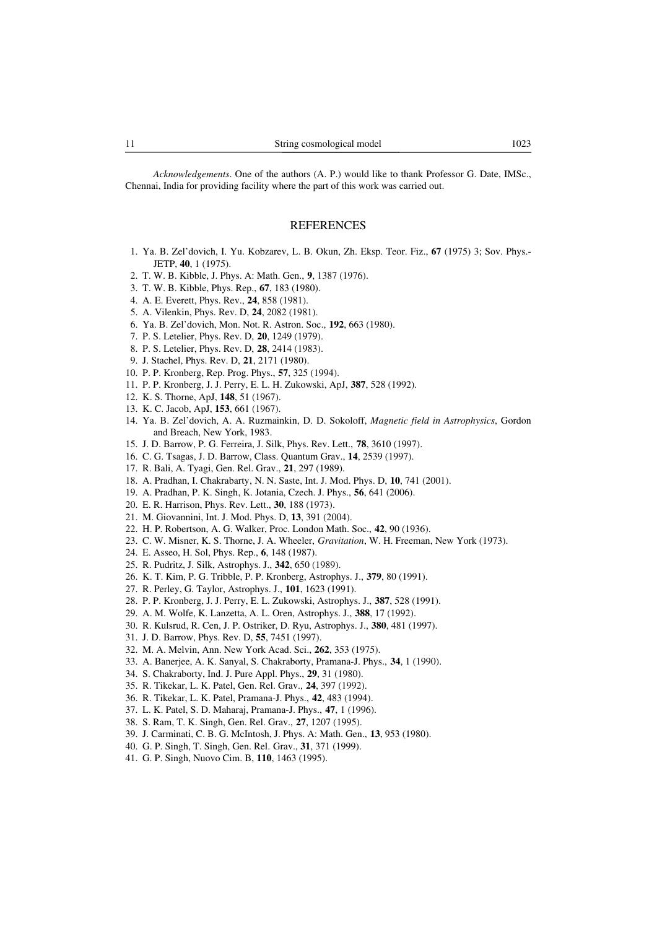*Acknowledgements*. One of the authors (A. P.) would like to thank Professor G. Date, IMSc., Chennai, India for providing facility where the part of this work was carried out.

## **REFERENCES**

- 1. Ya. B. Zel'dovich, I. Yu. Kobzarev, L. B. Okun, Zh. Eksp. Teor. Fiz., **67** (1975) 3; Sov. Phys.- JETP, **40**, 1 (1975).
- 2. T. W. B. Kibble, J. Phys. A: Math. Gen., **9**, 1387 (1976).
- 3. T. W. B. Kibble, Phys. Rep., **67**, 183 (1980).
- 4. A. E. Everett, Phys. Rev., **24**, 858 (1981).
- 5. A. Vilenkin, Phys. Rev. D, **24**, 2082 (1981).
- 6. Ya. B. Zel'dovich, Mon. Not. R. Astron. Soc., **192**, 663 (1980).
- 7. P. S. Letelier, Phys. Rev. D, **20**, 1249 (1979).
- 8. P. S. Letelier, Phys. Rev. D, **28**, 2414 (1983).
- 9. J. Stachel, Phys. Rev. D, **21**, 2171 (1980).
- 10. P. P. Kronberg, Rep. Prog. Phys., **57**, 325 (1994).
- 11. P. P. Kronberg, J. J. Perry, E. L. H. Zukowski, ApJ, **387**, 528 (1992).
- 12. K. S. Thorne, ApJ, **148**, 51 (1967).
- 13. K. C. Jacob, ApJ, **153**, 661 (1967).
- 14. Ya. B. Zel'dovich, A. A. Ruzmainkin, D. D. Sokoloff, *Magnetic field in Astrophysics*, Gordon and Breach, New York, 1983.
- 15. J. D. Barrow, P. G. Ferreira, J. Silk, Phys. Rev. Lett., **78**, 3610 (1997).
- 16. C. G. Tsagas, J. D. Barrow, Class. Quantum Grav., **14**, 2539 (1997).
- 17. R. Bali, A. Tyagi, Gen. Rel. Grav., **21**, 297 (1989).
- 18. A. Pradhan, I. Chakrabarty, N. N. Saste, Int. J. Mod. Phys. D, **10**, 741 (2001).
- 19. A. Pradhan, P. K. Singh, K. Jotania, Czech. J. Phys., **56**, 641 (2006).
- 20. E. R. Harrison, Phys. Rev. Lett., **30**, 188 (1973).
- 21. M. Giovannini, Int. J. Mod. Phys. D, **13**, 391 (2004).
- 22. H. P. Robertson, A. G. Walker, Proc. London Math. Soc., **42**, 90 (1936).
- 23. C. W. Misner, K. S. Thorne, J. A. Wheeler, *Gravitation*, W. H. Freeman, New York (1973).
- 24. E. Asseo, H. Sol, Phys. Rep., **6**, 148 (1987).
- 25. R. Pudritz, J. Silk, Astrophys. J., **342**, 650 (1989).
- 26. K. T. Kim, P. G. Tribble, P. P. Kronberg, Astrophys. J., **379**, 80 (1991).
- 27. R. Perley, G. Taylor, Astrophys. J., **101**, 1623 (1991).
- 28. P. P. Kronberg, J. J. Perry, E. L. Zukowski, Astrophys. J., **387**, 528 (1991).
- 29. A. M. Wolfe, K. Lanzetta, A. L. Oren, Astrophys. J., **388**, 17 (1992).
- 30. R. Kulsrud, R. Cen, J. P. Ostriker, D. Ryu, Astrophys. J., **380**, 481 (1997).
- 31. J. D. Barrow, Phys. Rev. D, **55**, 7451 (1997).
- 32. M. A. Melvin, Ann. New York Acad. Sci., **262**, 353 (1975).
- 33. A. Banerjee, A. K. Sanyal, S. Chakraborty, Pramana-J. Phys., **34**, 1 (1990).
- 34. S. Chakraborty, Ind. J. Pure Appl. Phys., **29**, 31 (1980).
- 35. R. Tikekar, L. K. Patel, Gen. Rel. Grav., **24**, 397 (1992).
- 36. R. Tikekar, L. K. Patel, Pramana-J. Phys., **42**, 483 (1994).
- 37. L. K. Patel, S. D. Maharaj, Pramana-J. Phys., **47**, 1 (1996).
- 38. S. Ram, T. K. Singh, Gen. Rel. Grav., **27**, 1207 (1995).
- 39. J. Carminati, C. B. G. McIntosh, J. Phys. A: Math. Gen., **13**, 953 (1980).
- 40. G. P. Singh, T. Singh, Gen. Rel. Grav., **31**, 371 (1999).
- 41. G. P. Singh, Nuovo Cim. B, **110**, 1463 (1995).